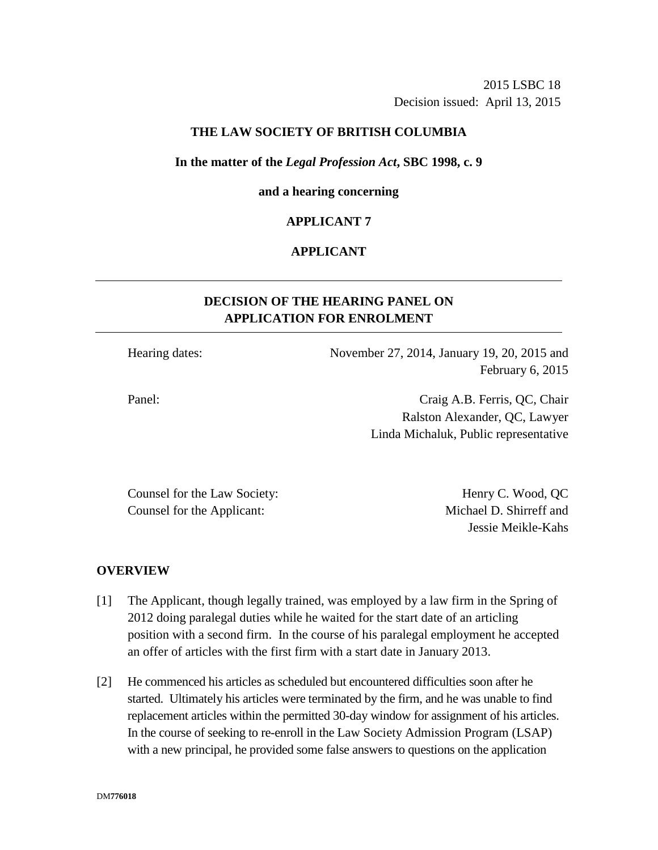2015 LSBC 18 Decision issued: April 13, 2015

### **THE LAW SOCIETY OF BRITISH COLUMBIA**

#### **In the matter of the** *Legal Profession Act***, SBC 1998, c. 9**

#### **and a hearing concerning**

### **APPLICANT 7**

### **APPLICANT**

# **DECISION OF THE HEARING PANEL ON APPLICATION FOR ENROLMENT**

Hearing dates: November 27, 2014, January 19, 20, 2015 and February 6, 2015

Panel: Craig A.B. Ferris, QC, Chair Ralston Alexander, QC, Lawyer Linda Michaluk, Public representative

Counsel for the Law Society: Henry C. Wood, QC Counsel for the Applicant: Michael D. Shirreff and

Jessie Meikle-Kahs

#### **OVERVIEW**

- [1] The Applicant, though legally trained, was employed by a law firm in the Spring of 2012 doing paralegal duties while he waited for the start date of an articling position with a second firm. In the course of his paralegal employment he accepted an offer of articles with the first firm with a start date in January 2013.
- [2] He commenced his articles as scheduled but encountered difficulties soon after he started. Ultimately his articles were terminated by the firm, and he was unable to find replacement articles within the permitted 30-day window for assignment of his articles. In the course of seeking to re-enroll in the Law Society Admission Program (LSAP) with a new principal, he provided some false answers to questions on the application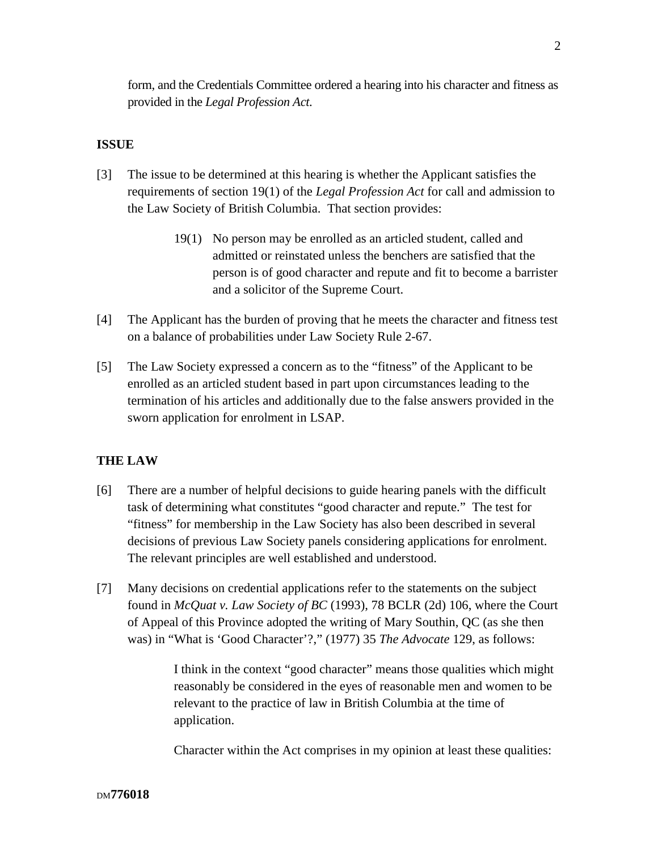form, and the Credentials Committee ordered a hearing into his character and fitness as provided in the *Legal Profession Act*.

# **ISSUE**

- [3] The issue to be determined at this hearing is whether the Applicant satisfies the requirements of section 19(1) of the *Legal Profession Act* for call and admission to the Law Society of British Columbia. That section provides:
	- 19(1) No person may be enrolled as an articled student, called and admitted or reinstated unless the benchers are satisfied that the person is of good character and repute and fit to become a barrister and a solicitor of the Supreme Court.
- [4] The Applicant has the burden of proving that he meets the character and fitness test on a balance of probabilities under Law Society Rule 2-67.
- [5] The Law Society expressed a concern as to the "fitness" of the Applicant to be enrolled as an articled student based in part upon circumstances leading to the termination of his articles and additionally due to the false answers provided in the sworn application for enrolment in LSAP.

### **THE LAW**

- [6] There are a number of helpful decisions to guide hearing panels with the difficult task of determining what constitutes "good character and repute." The test for "fitness" for membership in the Law Society has also been described in several decisions of previous Law Society panels considering applications for enrolment. The relevant principles are well established and understood.
- [7] Many decisions on credential applications refer to the statements on the subject found in *McQuat v. Law Society of BC* (1993), 78 BCLR (2d) 106, where the Court of Appeal of this Province adopted the writing of Mary Southin, QC (as she then was) in "What is 'Good Character'?," (1977) 35 *The Advocate* 129, as follows:

I think in the context "good character" means those qualities which might reasonably be considered in the eyes of reasonable men and women to be relevant to the practice of law in British Columbia at the time of application.

Character within the Act comprises in my opinion at least these qualities: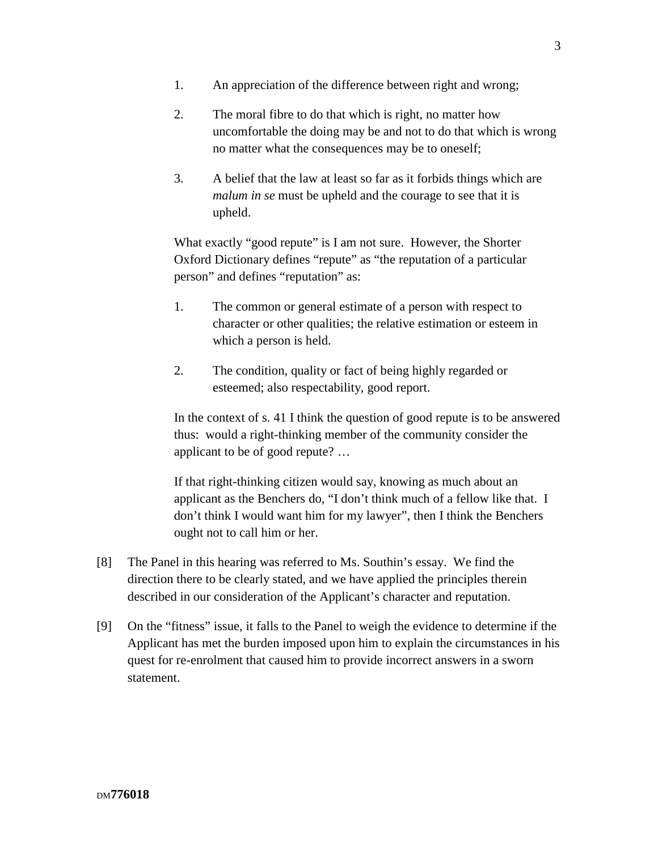- 1. An appreciation of the difference between right and wrong;
- 2. The moral fibre to do that which is right, no matter how uncomfortable the doing may be and not to do that which is wrong no matter what the consequences may be to oneself;
- 3. A belief that the law at least so far as it forbids things which are *malum in se* must be upheld and the courage to see that it is upheld.

What exactly "good repute" is I am not sure. However, the Shorter Oxford Dictionary defines "repute" as "the reputation of a particular person" and defines "reputation" as:

- 1. The common or general estimate of a person with respect to character or other qualities; the relative estimation or esteem in which a person is held.
- 2. The condition, quality or fact of being highly regarded or esteemed; also respectability, good report.

In the context of s. 41 I think the question of good repute is to be answered thus: would a right-thinking member of the community consider the applicant to be of good repute? …

If that right-thinking citizen would say, knowing as much about an applicant as the Benchers do, "I don't think much of a fellow like that. I don't think I would want him for my lawyer", then I think the Benchers ought not to call him or her.

- [8] The Panel in this hearing was referred to Ms. Southin's essay. We find the direction there to be clearly stated, and we have applied the principles therein described in our consideration of the Applicant's character and reputation.
- [9] On the "fitness" issue, it falls to the Panel to weigh the evidence to determine if the Applicant has met the burden imposed upon him to explain the circumstances in his quest for re-enrolment that caused him to provide incorrect answers in a sworn statement.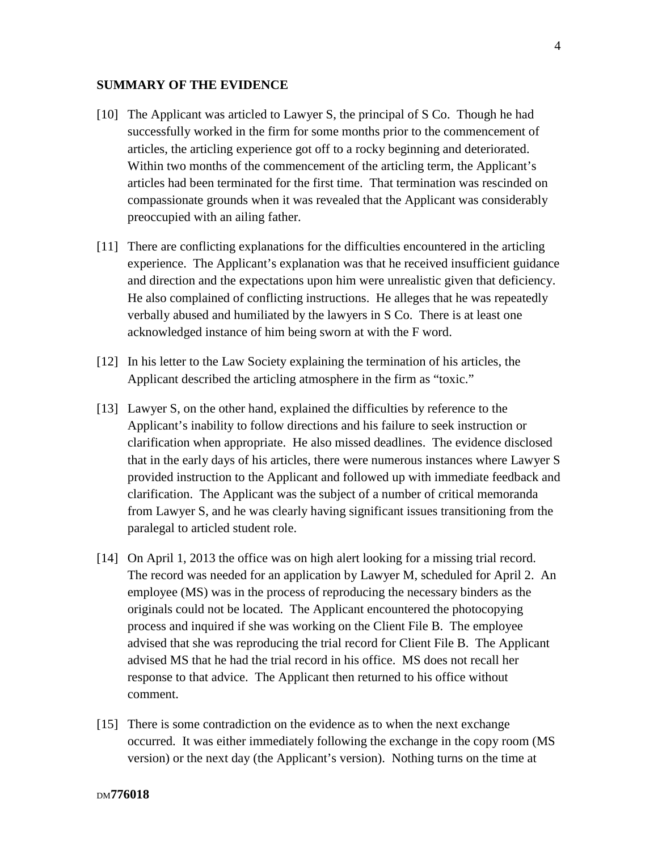### **SUMMARY OF THE EVIDENCE**

- [10] The Applicant was articled to Lawyer S, the principal of S Co. Though he had successfully worked in the firm for some months prior to the commencement of articles, the articling experience got off to a rocky beginning and deteriorated. Within two months of the commencement of the articling term, the Applicant's articles had been terminated for the first time. That termination was rescinded on compassionate grounds when it was revealed that the Applicant was considerably preoccupied with an ailing father.
- [11] There are conflicting explanations for the difficulties encountered in the articling experience. The Applicant's explanation was that he received insufficient guidance and direction and the expectations upon him were unrealistic given that deficiency. He also complained of conflicting instructions. He alleges that he was repeatedly verbally abused and humiliated by the lawyers in S Co. There is at least one acknowledged instance of him being sworn at with the F word.
- [12] In his letter to the Law Society explaining the termination of his articles, the Applicant described the articling atmosphere in the firm as "toxic."
- [13] Lawyer S, on the other hand, explained the difficulties by reference to the Applicant's inability to follow directions and his failure to seek instruction or clarification when appropriate. He also missed deadlines. The evidence disclosed that in the early days of his articles, there were numerous instances where Lawyer S provided instruction to the Applicant and followed up with immediate feedback and clarification. The Applicant was the subject of a number of critical memoranda from Lawyer S, and he was clearly having significant issues transitioning from the paralegal to articled student role.
- [14] On April 1, 2013 the office was on high alert looking for a missing trial record. The record was needed for an application by Lawyer M, scheduled for April 2. An employee (MS) was in the process of reproducing the necessary binders as the originals could not be located. The Applicant encountered the photocopying process and inquired if she was working on the Client File B. The employee advised that she was reproducing the trial record for Client File B. The Applicant advised MS that he had the trial record in his office. MS does not recall her response to that advice. The Applicant then returned to his office without comment.
- [15] There is some contradiction on the evidence as to when the next exchange occurred. It was either immediately following the exchange in the copy room (MS version) or the next day (the Applicant's version). Nothing turns on the time at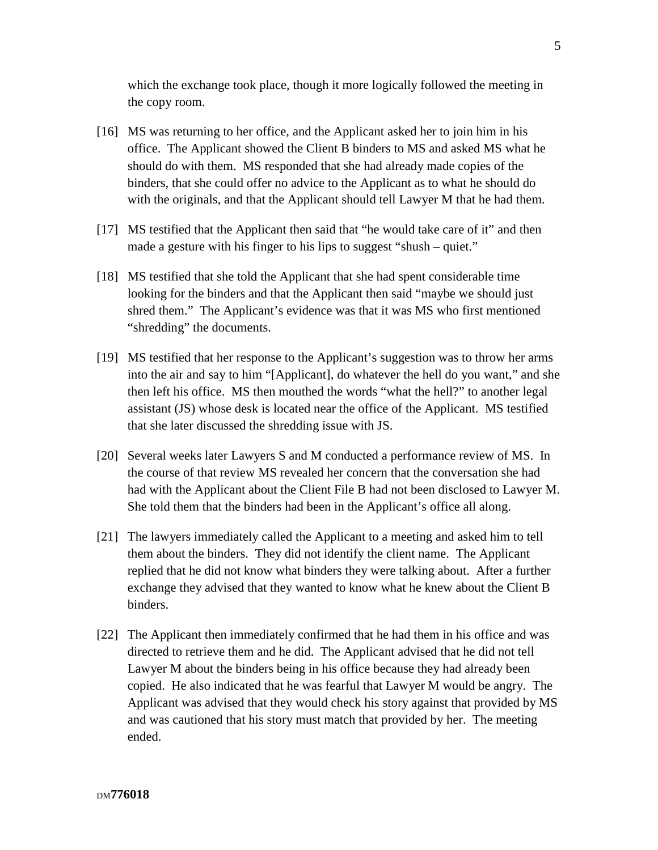which the exchange took place, though it more logically followed the meeting in the copy room.

- [16] MS was returning to her office, and the Applicant asked her to join him in his office. The Applicant showed the Client B binders to MS and asked MS what he should do with them. MS responded that she had already made copies of the binders, that she could offer no advice to the Applicant as to what he should do with the originals, and that the Applicant should tell Lawyer M that he had them.
- [17] MS testified that the Applicant then said that "he would take care of it" and then made a gesture with his finger to his lips to suggest "shush – quiet."
- [18] MS testified that she told the Applicant that she had spent considerable time looking for the binders and that the Applicant then said "maybe we should just shred them." The Applicant's evidence was that it was MS who first mentioned "shredding" the documents.
- [19] MS testified that her response to the Applicant's suggestion was to throw her arms into the air and say to him "[Applicant], do whatever the hell do you want," and she then left his office. MS then mouthed the words "what the hell?" to another legal assistant (JS) whose desk is located near the office of the Applicant. MS testified that she later discussed the shredding issue with JS.
- [20] Several weeks later Lawyers S and M conducted a performance review of MS. In the course of that review MS revealed her concern that the conversation she had had with the Applicant about the Client File B had not been disclosed to Lawyer M. She told them that the binders had been in the Applicant's office all along.
- [21] The lawyers immediately called the Applicant to a meeting and asked him to tell them about the binders. They did not identify the client name. The Applicant replied that he did not know what binders they were talking about. After a further exchange they advised that they wanted to know what he knew about the Client B binders.
- [22] The Applicant then immediately confirmed that he had them in his office and was directed to retrieve them and he did. The Applicant advised that he did not tell Lawyer M about the binders being in his office because they had already been copied. He also indicated that he was fearful that Lawyer M would be angry. The Applicant was advised that they would check his story against that provided by MS and was cautioned that his story must match that provided by her. The meeting ended.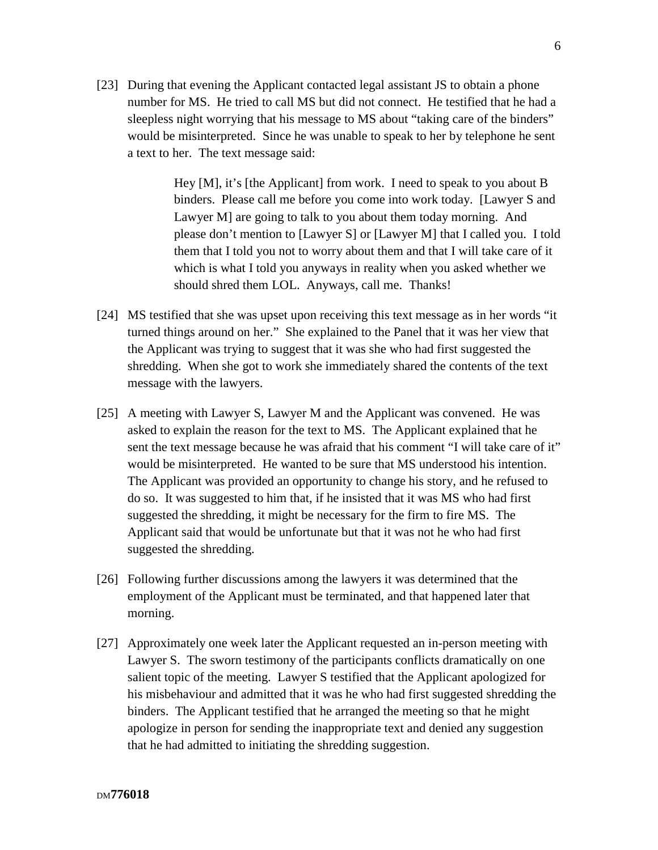[23] During that evening the Applicant contacted legal assistant JS to obtain a phone number for MS. He tried to call MS but did not connect. He testified that he had a sleepless night worrying that his message to MS about "taking care of the binders" would be misinterpreted. Since he was unable to speak to her by telephone he sent a text to her. The text message said:

> Hey [M], it's [the Applicant] from work. I need to speak to you about B binders. Please call me before you come into work today. [Lawyer S and Lawyer M] are going to talk to you about them today morning. And please don't mention to [Lawyer S] or [Lawyer M] that I called you. I told them that I told you not to worry about them and that I will take care of it which is what I told you anyways in reality when you asked whether we should shred them LOL. Anyways, call me. Thanks!

- [24] MS testified that she was upset upon receiving this text message as in her words "it turned things around on her." She explained to the Panel that it was her view that the Applicant was trying to suggest that it was she who had first suggested the shredding. When she got to work she immediately shared the contents of the text message with the lawyers.
- [25] A meeting with Lawyer S, Lawyer M and the Applicant was convened. He was asked to explain the reason for the text to MS. The Applicant explained that he sent the text message because he was afraid that his comment "I will take care of it" would be misinterpreted. He wanted to be sure that MS understood his intention. The Applicant was provided an opportunity to change his story, and he refused to do so. It was suggested to him that, if he insisted that it was MS who had first suggested the shredding, it might be necessary for the firm to fire MS. The Applicant said that would be unfortunate but that it was not he who had first suggested the shredding.
- [26] Following further discussions among the lawyers it was determined that the employment of the Applicant must be terminated, and that happened later that morning.
- [27] Approximately one week later the Applicant requested an in-person meeting with Lawyer S. The sworn testimony of the participants conflicts dramatically on one salient topic of the meeting. Lawyer S testified that the Applicant apologized for his misbehaviour and admitted that it was he who had first suggested shredding the binders. The Applicant testified that he arranged the meeting so that he might apologize in person for sending the inappropriate text and denied any suggestion that he had admitted to initiating the shredding suggestion.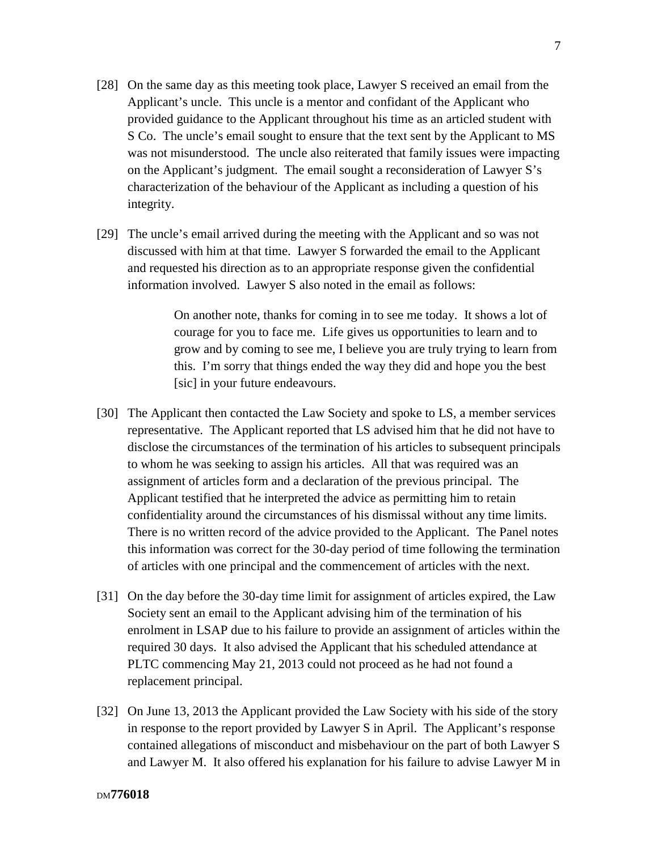- [28] On the same day as this meeting took place, Lawyer S received an email from the Applicant's uncle. This uncle is a mentor and confidant of the Applicant who provided guidance to the Applicant throughout his time as an articled student with S Co. The uncle's email sought to ensure that the text sent by the Applicant to MS was not misunderstood. The uncle also reiterated that family issues were impacting on the Applicant's judgment. The email sought a reconsideration of Lawyer S's characterization of the behaviour of the Applicant as including a question of his integrity.
- [29] The uncle's email arrived during the meeting with the Applicant and so was not discussed with him at that time. Lawyer S forwarded the email to the Applicant and requested his direction as to an appropriate response given the confidential information involved. Lawyer S also noted in the email as follows:

On another note, thanks for coming in to see me today. It shows a lot of courage for you to face me. Life gives us opportunities to learn and to grow and by coming to see me, I believe you are truly trying to learn from this. I'm sorry that things ended the way they did and hope you the best [sic] in your future endeavours.

- [30] The Applicant then contacted the Law Society and spoke to LS, a member services representative. The Applicant reported that LS advised him that he did not have to disclose the circumstances of the termination of his articles to subsequent principals to whom he was seeking to assign his articles. All that was required was an assignment of articles form and a declaration of the previous principal. The Applicant testified that he interpreted the advice as permitting him to retain confidentiality around the circumstances of his dismissal without any time limits. There is no written record of the advice provided to the Applicant. The Panel notes this information was correct for the 30-day period of time following the termination of articles with one principal and the commencement of articles with the next.
- [31] On the day before the 30-day time limit for assignment of articles expired, the Law Society sent an email to the Applicant advising him of the termination of his enrolment in LSAP due to his failure to provide an assignment of articles within the required 30 days. It also advised the Applicant that his scheduled attendance at PLTC commencing May 21, 2013 could not proceed as he had not found a replacement principal.
- [32] On June 13, 2013 the Applicant provided the Law Society with his side of the story in response to the report provided by Lawyer S in April. The Applicant's response contained allegations of misconduct and misbehaviour on the part of both Lawyer S and Lawyer M. It also offered his explanation for his failure to advise Lawyer M in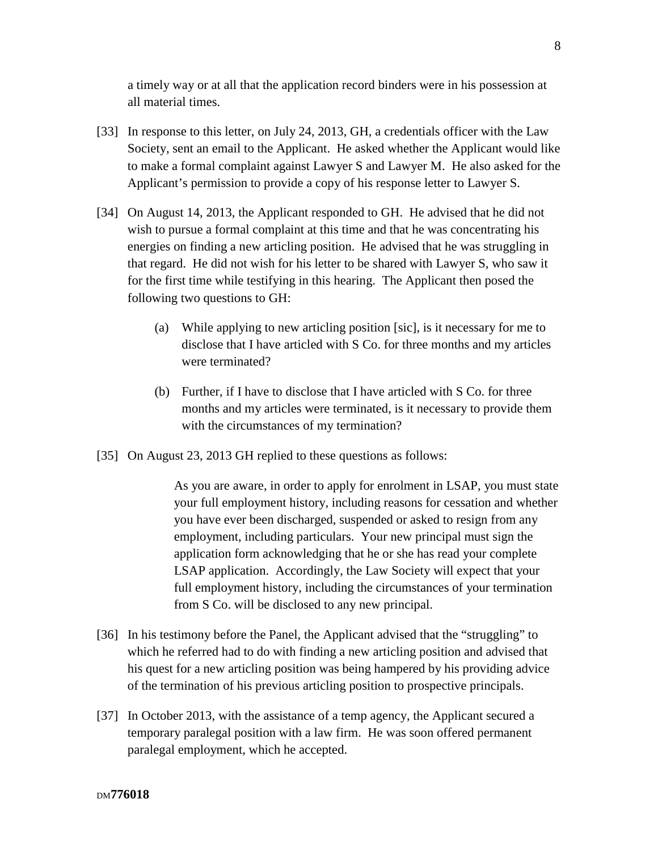a timely way or at all that the application record binders were in his possession at all material times.

- [33] In response to this letter, on July 24, 2013, GH, a credentials officer with the Law Society, sent an email to the Applicant. He asked whether the Applicant would like to make a formal complaint against Lawyer S and Lawyer M. He also asked for the Applicant's permission to provide a copy of his response letter to Lawyer S.
- [34] On August 14, 2013, the Applicant responded to GH. He advised that he did not wish to pursue a formal complaint at this time and that he was concentrating his energies on finding a new articling position. He advised that he was struggling in that regard. He did not wish for his letter to be shared with Lawyer S, who saw it for the first time while testifying in this hearing. The Applicant then posed the following two questions to GH:
	- (a) While applying to new articling position [sic], is it necessary for me to disclose that I have articled with S Co. for three months and my articles were terminated?
	- (b) Further, if I have to disclose that I have articled with S Co. for three months and my articles were terminated, is it necessary to provide them with the circumstances of my termination?
- [35] On August 23, 2013 GH replied to these questions as follows:

As you are aware, in order to apply for enrolment in LSAP, you must state your full employment history, including reasons for cessation and whether you have ever been discharged, suspended or asked to resign from any employment, including particulars. Your new principal must sign the application form acknowledging that he or she has read your complete LSAP application. Accordingly, the Law Society will expect that your full employment history, including the circumstances of your termination from S Co. will be disclosed to any new principal.

- [36] In his testimony before the Panel, the Applicant advised that the "struggling" to which he referred had to do with finding a new articling position and advised that his quest for a new articling position was being hampered by his providing advice of the termination of his previous articling position to prospective principals.
- [37] In October 2013, with the assistance of a temp agency, the Applicant secured a temporary paralegal position with a law firm. He was soon offered permanent paralegal employment, which he accepted.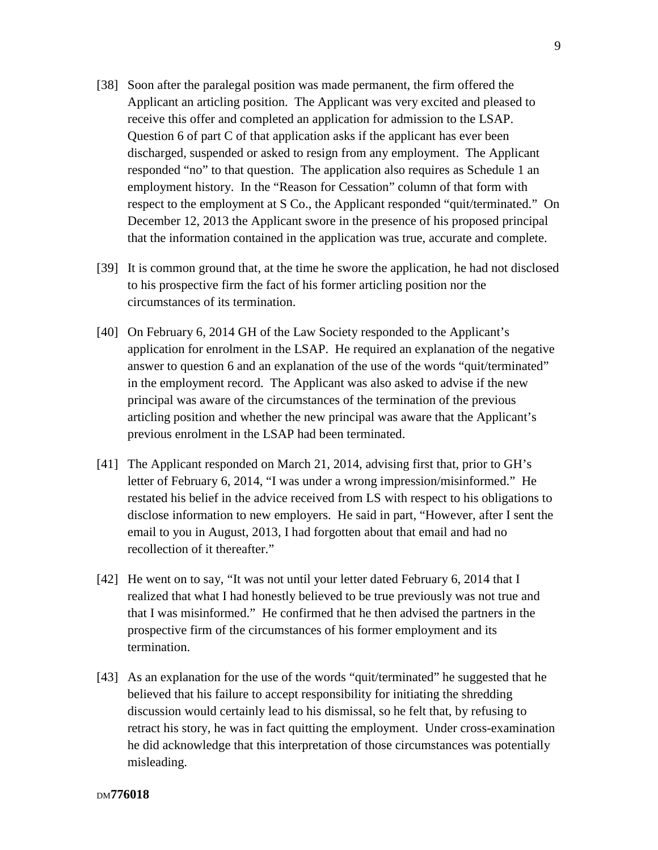- [38] Soon after the paralegal position was made permanent, the firm offered the Applicant an articling position. The Applicant was very excited and pleased to receive this offer and completed an application for admission to the LSAP. Question 6 of part C of that application asks if the applicant has ever been discharged, suspended or asked to resign from any employment. The Applicant responded "no" to that question. The application also requires as Schedule 1 an employment history. In the "Reason for Cessation" column of that form with respect to the employment at S Co., the Applicant responded "quit/terminated." On December 12, 2013 the Applicant swore in the presence of his proposed principal that the information contained in the application was true, accurate and complete.
- [39] It is common ground that, at the time he swore the application, he had not disclosed to his prospective firm the fact of his former articling position nor the circumstances of its termination.
- [40] On February 6, 2014 GH of the Law Society responded to the Applicant's application for enrolment in the LSAP. He required an explanation of the negative answer to question 6 and an explanation of the use of the words "quit/terminated" in the employment record. The Applicant was also asked to advise if the new principal was aware of the circumstances of the termination of the previous articling position and whether the new principal was aware that the Applicant's previous enrolment in the LSAP had been terminated.
- [41] The Applicant responded on March 21, 2014, advising first that, prior to GH's letter of February 6, 2014, "I was under a wrong impression/misinformed." He restated his belief in the advice received from LS with respect to his obligations to disclose information to new employers. He said in part, "However, after I sent the email to you in August, 2013, I had forgotten about that email and had no recollection of it thereafter."
- [42] He went on to say, "It was not until your letter dated February 6, 2014 that I realized that what I had honestly believed to be true previously was not true and that I was misinformed." He confirmed that he then advised the partners in the prospective firm of the circumstances of his former employment and its termination.
- [43] As an explanation for the use of the words "quit/terminated" he suggested that he believed that his failure to accept responsibility for initiating the shredding discussion would certainly lead to his dismissal, so he felt that, by refusing to retract his story, he was in fact quitting the employment. Under cross-examination he did acknowledge that this interpretation of those circumstances was potentially misleading.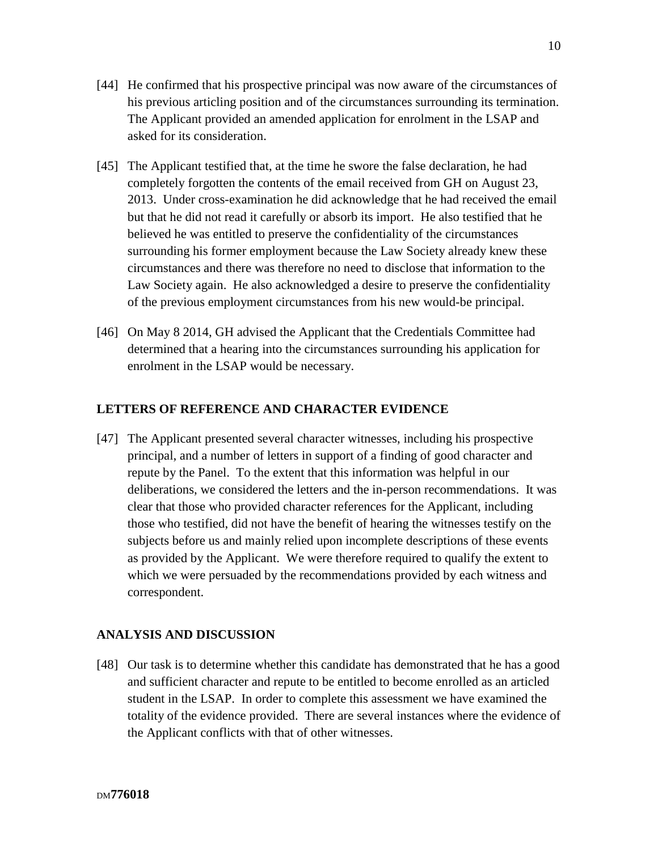- [45] The Applicant testified that, at the time he swore the false declaration, he had completely forgotten the contents of the email received from GH on August 23, 2013. Under cross-examination he did acknowledge that he had received the email but that he did not read it carefully or absorb its import. He also testified that he believed he was entitled to preserve the confidentiality of the circumstances surrounding his former employment because the Law Society already knew these circumstances and there was therefore no need to disclose that information to the Law Society again. He also acknowledged a desire to preserve the confidentiality of the previous employment circumstances from his new would-be principal.
- [46] On May 8 2014, GH advised the Applicant that the Credentials Committee had determined that a hearing into the circumstances surrounding his application for enrolment in the LSAP would be necessary.

# **LETTERS OF REFERENCE AND CHARACTER EVIDENCE**

[47] The Applicant presented several character witnesses, including his prospective principal, and a number of letters in support of a finding of good character and repute by the Panel. To the extent that this information was helpful in our deliberations, we considered the letters and the in-person recommendations. It was clear that those who provided character references for the Applicant, including those who testified, did not have the benefit of hearing the witnesses testify on the subjects before us and mainly relied upon incomplete descriptions of these events as provided by the Applicant. We were therefore required to qualify the extent to which we were persuaded by the recommendations provided by each witness and correspondent.

# **ANALYSIS AND DISCUSSION**

[48] Our task is to determine whether this candidate has demonstrated that he has a good and sufficient character and repute to be entitled to become enrolled as an articled student in the LSAP. In order to complete this assessment we have examined the totality of the evidence provided. There are several instances where the evidence of the Applicant conflicts with that of other witnesses.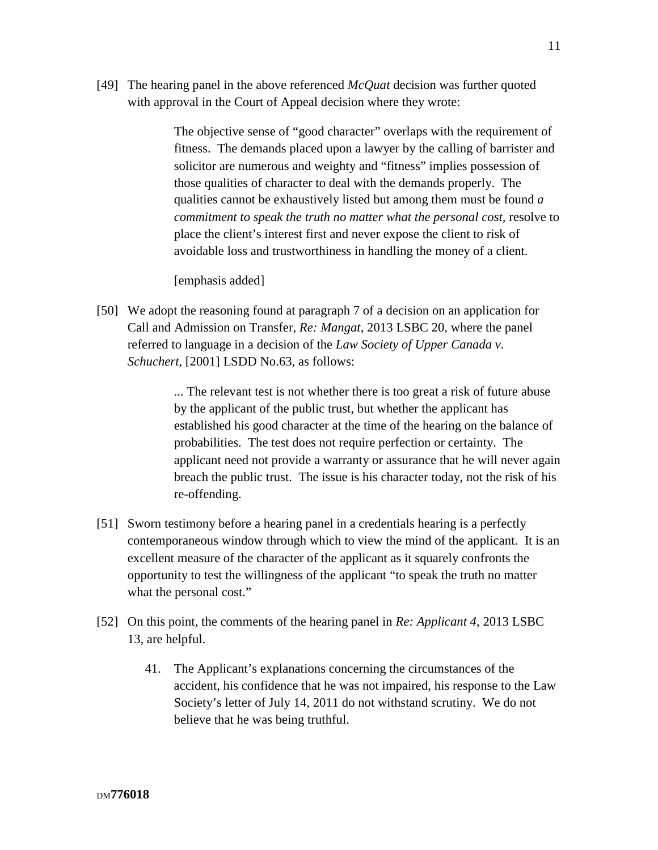[49] The hearing panel in the above referenced *McQuat* decision was further quoted with approval in the Court of Appeal decision where they wrote:

> The objective sense of "good character" overlaps with the requirement of fitness. The demands placed upon a lawyer by the calling of barrister and solicitor are numerous and weighty and "fitness" implies possession of those qualities of character to deal with the demands properly. The qualities cannot be exhaustively listed but among them must be found *a commitment to speak the truth no matter what the personal cost,* resolve to place the client's interest first and never expose the client to risk of avoidable loss and trustworthiness in handling the money of a client.

[emphasis added]

[50] We adopt the reasoning found at paragraph 7 of a decision on an application for Call and Admission on Transfer, *Re: Mangat*, 2013 LSBC 20, where the panel referred to language in a decision of the *Law Society of Upper Canada v. Schuchert*, [2001] LSDD No.63, as follows:

> ... The relevant test is not whether there is too great a risk of future abuse by the applicant of the public trust, but whether the applicant has established his good character at the time of the hearing on the balance of probabilities. The test does not require perfection or certainty. The applicant need not provide a warranty or assurance that he will never again breach the public trust. The issue is his character today, not the risk of his re-offending.

- [51] Sworn testimony before a hearing panel in a credentials hearing is a perfectly contemporaneous window through which to view the mind of the applicant. It is an excellent measure of the character of the applicant as it squarely confronts the opportunity to test the willingness of the applicant "to speak the truth no matter what the personal cost."
- [52] On this point, the comments of the hearing panel in *Re: Applicant 4*, 2013 LSBC 13, are helpful.
	- 41. The Applicant's explanations concerning the circumstances of the accident, his confidence that he was not impaired, his response to the Law Society's letter of July 14, 2011 do not withstand scrutiny. We do not believe that he was being truthful.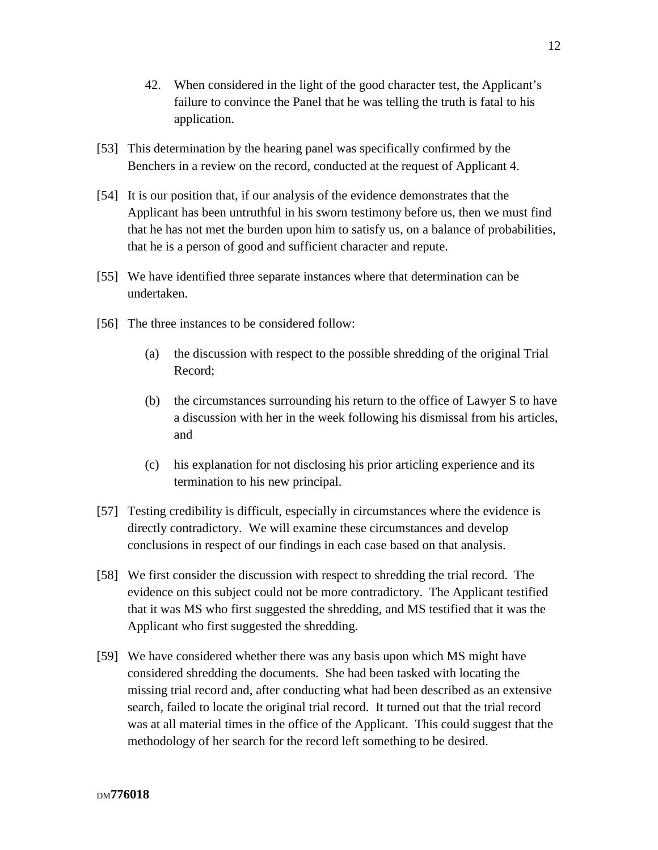- 42. When considered in the light of the good character test, the Applicant's failure to convince the Panel that he was telling the truth is fatal to his application.
- [53] This determination by the hearing panel was specifically confirmed by the Benchers in a review on the record, conducted at the request of Applicant 4.
- [54] It is our position that, if our analysis of the evidence demonstrates that the Applicant has been untruthful in his sworn testimony before us, then we must find that he has not met the burden upon him to satisfy us, on a balance of probabilities, that he is a person of good and sufficient character and repute.
- [55] We have identified three separate instances where that determination can be undertaken.
- [56] The three instances to be considered follow:
	- (a) the discussion with respect to the possible shredding of the original Trial Record;
	- (b) the circumstances surrounding his return to the office of Lawyer S to have a discussion with her in the week following his dismissal from his articles, and
	- (c) his explanation for not disclosing his prior articling experience and its termination to his new principal.
- [57] Testing credibility is difficult, especially in circumstances where the evidence is directly contradictory. We will examine these circumstances and develop conclusions in respect of our findings in each case based on that analysis.
- [58] We first consider the discussion with respect to shredding the trial record. The evidence on this subject could not be more contradictory. The Applicant testified that it was MS who first suggested the shredding, and MS testified that it was the Applicant who first suggested the shredding.
- [59] We have considered whether there was any basis upon which MS might have considered shredding the documents. She had been tasked with locating the missing trial record and, after conducting what had been described as an extensive search, failed to locate the original trial record. It turned out that the trial record was at all material times in the office of the Applicant. This could suggest that the methodology of her search for the record left something to be desired.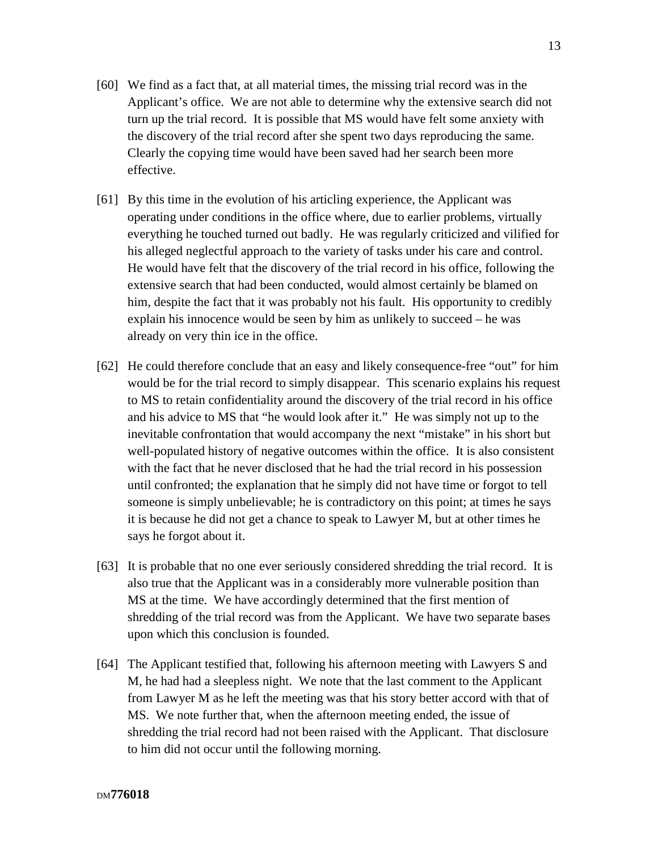- [60] We find as a fact that, at all material times, the missing trial record was in the Applicant's office. We are not able to determine why the extensive search did not turn up the trial record. It is possible that MS would have felt some anxiety with the discovery of the trial record after she spent two days reproducing the same. Clearly the copying time would have been saved had her search been more effective.
- [61] By this time in the evolution of his articling experience, the Applicant was operating under conditions in the office where, due to earlier problems, virtually everything he touched turned out badly. He was regularly criticized and vilified for his alleged neglectful approach to the variety of tasks under his care and control. He would have felt that the discovery of the trial record in his office, following the extensive search that had been conducted, would almost certainly be blamed on him, despite the fact that it was probably not his fault. His opportunity to credibly explain his innocence would be seen by him as unlikely to succeed – he was already on very thin ice in the office.
- [62] He could therefore conclude that an easy and likely consequence-free "out" for him would be for the trial record to simply disappear. This scenario explains his request to MS to retain confidentiality around the discovery of the trial record in his office and his advice to MS that "he would look after it." He was simply not up to the inevitable confrontation that would accompany the next "mistake" in his short but well-populated history of negative outcomes within the office. It is also consistent with the fact that he never disclosed that he had the trial record in his possession until confronted; the explanation that he simply did not have time or forgot to tell someone is simply unbelievable; he is contradictory on this point; at times he says it is because he did not get a chance to speak to Lawyer M, but at other times he says he forgot about it.
- [63] It is probable that no one ever seriously considered shredding the trial record. It is also true that the Applicant was in a considerably more vulnerable position than MS at the time. We have accordingly determined that the first mention of shredding of the trial record was from the Applicant. We have two separate bases upon which this conclusion is founded.
- [64] The Applicant testified that, following his afternoon meeting with Lawyers S and M, he had had a sleepless night. We note that the last comment to the Applicant from Lawyer M as he left the meeting was that his story better accord with that of MS. We note further that, when the afternoon meeting ended, the issue of shredding the trial record had not been raised with the Applicant. That disclosure to him did not occur until the following morning.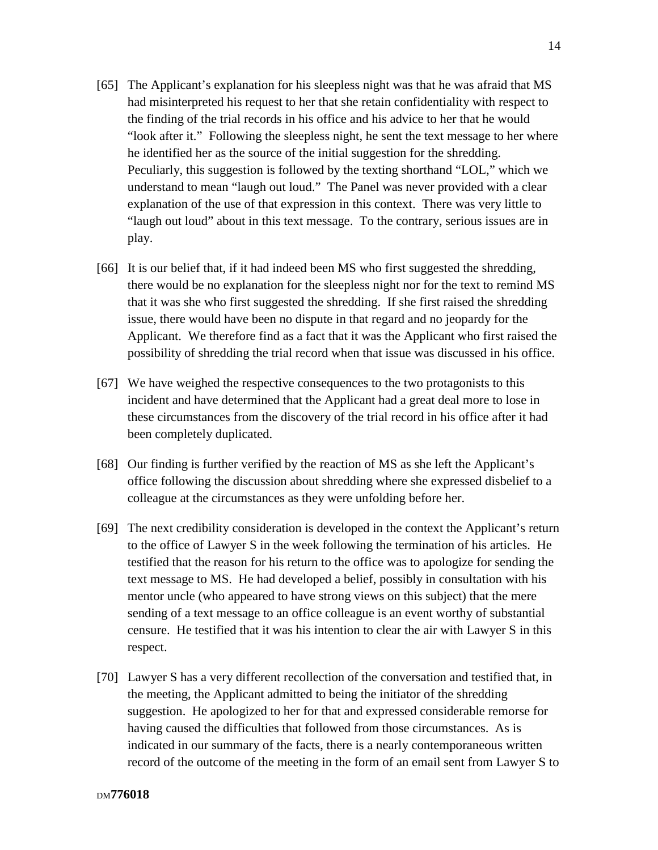- [65] The Applicant's explanation for his sleepless night was that he was afraid that MS had misinterpreted his request to her that she retain confidentiality with respect to the finding of the trial records in his office and his advice to her that he would "look after it." Following the sleepless night, he sent the text message to her where he identified her as the source of the initial suggestion for the shredding. Peculiarly, this suggestion is followed by the texting shorthand "LOL," which we understand to mean "laugh out loud." The Panel was never provided with a clear explanation of the use of that expression in this context. There was very little to "laugh out loud" about in this text message. To the contrary, serious issues are in play.
- [66] It is our belief that, if it had indeed been MS who first suggested the shredding, there would be no explanation for the sleepless night nor for the text to remind MS that it was she who first suggested the shredding. If she first raised the shredding issue, there would have been no dispute in that regard and no jeopardy for the Applicant. We therefore find as a fact that it was the Applicant who first raised the possibility of shredding the trial record when that issue was discussed in his office.
- [67] We have weighed the respective consequences to the two protagonists to this incident and have determined that the Applicant had a great deal more to lose in these circumstances from the discovery of the trial record in his office after it had been completely duplicated.
- [68] Our finding is further verified by the reaction of MS as she left the Applicant's office following the discussion about shredding where she expressed disbelief to a colleague at the circumstances as they were unfolding before her.
- [69] The next credibility consideration is developed in the context the Applicant's return to the office of Lawyer S in the week following the termination of his articles. He testified that the reason for his return to the office was to apologize for sending the text message to MS. He had developed a belief, possibly in consultation with his mentor uncle (who appeared to have strong views on this subject) that the mere sending of a text message to an office colleague is an event worthy of substantial censure. He testified that it was his intention to clear the air with Lawyer S in this respect.
- [70] Lawyer S has a very different recollection of the conversation and testified that, in the meeting, the Applicant admitted to being the initiator of the shredding suggestion. He apologized to her for that and expressed considerable remorse for having caused the difficulties that followed from those circumstances. As is indicated in our summary of the facts, there is a nearly contemporaneous written record of the outcome of the meeting in the form of an email sent from Lawyer S to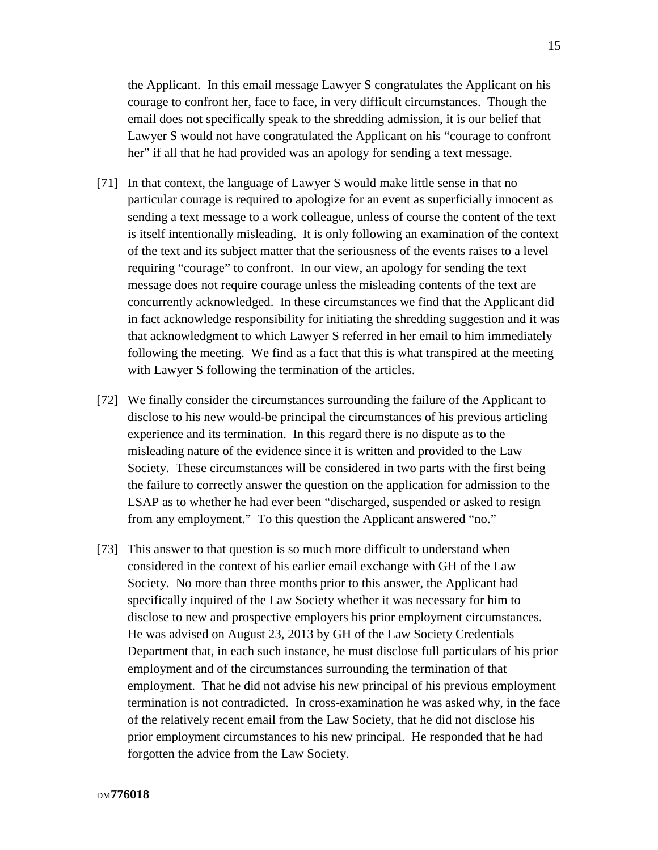the Applicant. In this email message Lawyer S congratulates the Applicant on his courage to confront her, face to face, in very difficult circumstances. Though the email does not specifically speak to the shredding admission, it is our belief that Lawyer S would not have congratulated the Applicant on his "courage to confront her" if all that he had provided was an apology for sending a text message.

- [71] In that context, the language of Lawyer S would make little sense in that no particular courage is required to apologize for an event as superficially innocent as sending a text message to a work colleague, unless of course the content of the text is itself intentionally misleading. It is only following an examination of the context of the text and its subject matter that the seriousness of the events raises to a level requiring "courage" to confront. In our view, an apology for sending the text message does not require courage unless the misleading contents of the text are concurrently acknowledged. In these circumstances we find that the Applicant did in fact acknowledge responsibility for initiating the shredding suggestion and it was that acknowledgment to which Lawyer S referred in her email to him immediately following the meeting. We find as a fact that this is what transpired at the meeting with Lawyer S following the termination of the articles.
- [72] We finally consider the circumstances surrounding the failure of the Applicant to disclose to his new would-be principal the circumstances of his previous articling experience and its termination. In this regard there is no dispute as to the misleading nature of the evidence since it is written and provided to the Law Society. These circumstances will be considered in two parts with the first being the failure to correctly answer the question on the application for admission to the LSAP as to whether he had ever been "discharged, suspended or asked to resign from any employment." To this question the Applicant answered "no."
- [73] This answer to that question is so much more difficult to understand when considered in the context of his earlier email exchange with GH of the Law Society. No more than three months prior to this answer, the Applicant had specifically inquired of the Law Society whether it was necessary for him to disclose to new and prospective employers his prior employment circumstances. He was advised on August 23, 2013 by GH of the Law Society Credentials Department that, in each such instance, he must disclose full particulars of his prior employment and of the circumstances surrounding the termination of that employment. That he did not advise his new principal of his previous employment termination is not contradicted. In cross-examination he was asked why, in the face of the relatively recent email from the Law Society, that he did not disclose his prior employment circumstances to his new principal. He responded that he had forgotten the advice from the Law Society.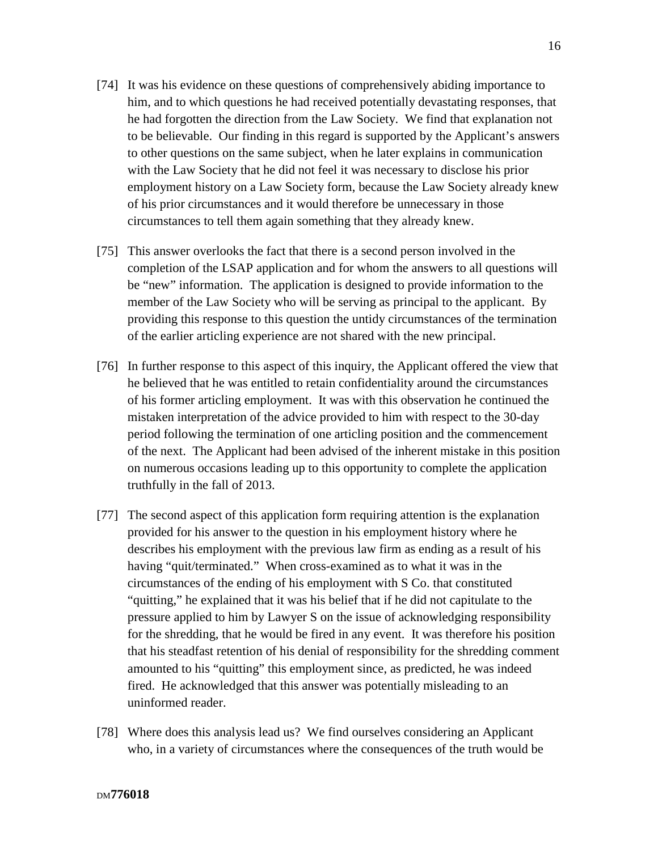- [74] It was his evidence on these questions of comprehensively abiding importance to him, and to which questions he had received potentially devastating responses, that he had forgotten the direction from the Law Society. We find that explanation not to be believable. Our finding in this regard is supported by the Applicant's answers to other questions on the same subject, when he later explains in communication with the Law Society that he did not feel it was necessary to disclose his prior employment history on a Law Society form, because the Law Society already knew of his prior circumstances and it would therefore be unnecessary in those circumstances to tell them again something that they already knew.
- [75] This answer overlooks the fact that there is a second person involved in the completion of the LSAP application and for whom the answers to all questions will be "new" information. The application is designed to provide information to the member of the Law Society who will be serving as principal to the applicant. By providing this response to this question the untidy circumstances of the termination of the earlier articling experience are not shared with the new principal.
- [76] In further response to this aspect of this inquiry, the Applicant offered the view that he believed that he was entitled to retain confidentiality around the circumstances of his former articling employment. It was with this observation he continued the mistaken interpretation of the advice provided to him with respect to the 30-day period following the termination of one articling position and the commencement of the next. The Applicant had been advised of the inherent mistake in this position on numerous occasions leading up to this opportunity to complete the application truthfully in the fall of 2013.
- [77] The second aspect of this application form requiring attention is the explanation provided for his answer to the question in his employment history where he describes his employment with the previous law firm as ending as a result of his having "quit/terminated." When cross-examined as to what it was in the circumstances of the ending of his employment with S Co. that constituted "quitting," he explained that it was his belief that if he did not capitulate to the pressure applied to him by Lawyer S on the issue of acknowledging responsibility for the shredding, that he would be fired in any event. It was therefore his position that his steadfast retention of his denial of responsibility for the shredding comment amounted to his "quitting" this employment since, as predicted, he was indeed fired. He acknowledged that this answer was potentially misleading to an uninformed reader.
- [78] Where does this analysis lead us? We find ourselves considering an Applicant who, in a variety of circumstances where the consequences of the truth would be